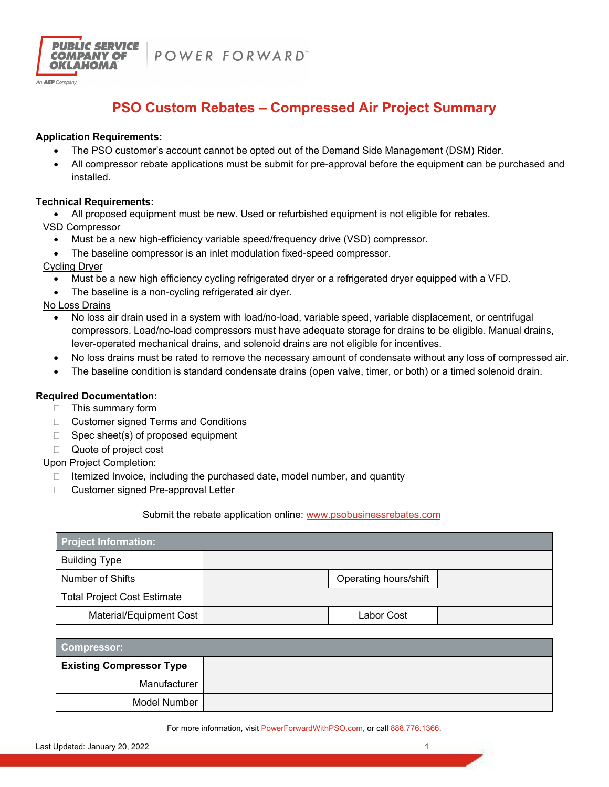

POWER FORWARD"

# **PSO Custom Rebates – Compressed Air Project Summary**

## **Application Requirements:**

- The PSO customer's account cannot be opted out of the Demand Side Management (DSM) Rider.
- All compressor rebate applications must be submit for pre-approval before the equipment can be purchased and installed.

#### **Technical Requirements:**

All proposed equipment must be new. Used or refurbished equipment is not eligible for rebates.

VSD Compressor

- Must be a new high-efficiency variable speed/frequency drive (VSD) compressor.
- The baseline compressor is an inlet modulation fixed-speed compressor.

Cycling Dryer

- Must be a new high efficiency cycling refrigerated dryer or a refrigerated dryer equipped with a VFD.
- The baseline is a non-cycling refrigerated air dyer.

No Loss Drains

- No loss air drain used in a system with load/no-load, variable speed, variable displacement, or centrifugal compressors. Load/no-load compressors must have adequate storage for drains to be eligible. Manual drains, lever-operated mechanical drains, and solenoid drains are not eligible for incentives.
- No loss drains must be rated to remove the necessary amount of condensate without any loss of compressed air.
- The baseline condition is standard condensate drains (open valve, timer, or both) or a timed solenoid drain.

# **Required Documentation:**

- □ This summary form
- □ Customer signed Terms and Conditions
- $\Box$  Spec sheet(s) of proposed equipment
- □ Quote of project cost

Upon Project Completion:

- $\Box$  Itemized Invoice, including the purchased date, model number, and quantity
- □ Customer signed Pre-approval Letter

### Submit the rebate application online: www.psobusinessrebates.com

| <b>Project Information:</b>        |                       |  |
|------------------------------------|-----------------------|--|
| <b>Building Type</b>               |                       |  |
| Number of Shifts                   | Operating hours/shift |  |
| <b>Total Project Cost Estimate</b> |                       |  |
| Material/Equipment Cost            | Labor Cost            |  |

| <b>Compressor:</b>              |  |
|---------------------------------|--|
| <b>Existing Compressor Type</b> |  |
| Manufacturer                    |  |
| Model Number                    |  |

For more information, visit PowerForwardWithPSO.com, or call 888.776.1366.